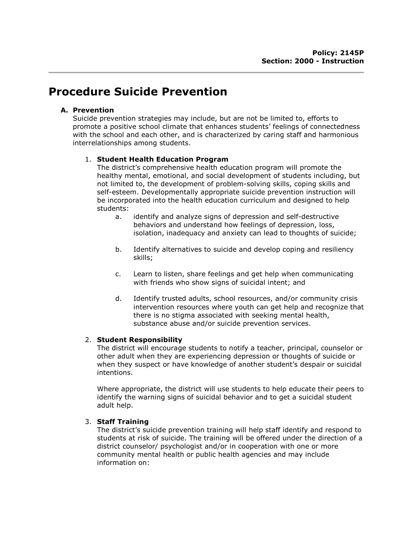# Procedure Suicide Prevention

# A. Prevention

Suicide prevention strategies may include, but are not be limited to, efforts to promote a positive school climate that enhances students' feelings of connectedness with the school and each other, and is characterized by caring staff and harmonious interrelationships among students.

# 1. Student Health Education Program

The district's comprehensive health education program will promote the healthy mental, emotional, and social development of students including, but not limited to, the development of problem-solving skills, coping skills and self-esteem. Developmentally appropriate suicide prevention instruction will be incorporated into the health education curriculum and designed to help students:

- a. identify and analyze signs of depression and self-destructive behaviors and understand how feelings of depression, loss, isolation, inadequacy and anxiety can lead to thoughts of suicide;
- b. Identify alternatives to suicide and develop coping and resiliency skills;
- c. Learn to listen, share feelings and get help when communicating with friends who show signs of suicidal intent; and
- d. Identify trusted adults, school resources, and/or community crisis intervention resources where youth can get help and recognize that there is no stigma associated with seeking mental health, substance abuse and/or suicide prevention services.

## 2. Student Responsibility

The district will encourage students to notify a teacher, principal, counselor or other adult when they are experiencing depression or thoughts of suicide or when they suspect or have knowledge of another student's despair or suicidal intentions.

Where appropriate, the district will use students to help educate their peers to identify the warning signs of suicidal behavior and to get a suicidal student adult help.

## 3. Staff Training

The district's suicide prevention training will help staff identify and respond to students at risk of suicide. The training will be offered under the direction of a district counselor/ psychologist and/or in cooperation with one or more community mental health or public health agencies and may include information on: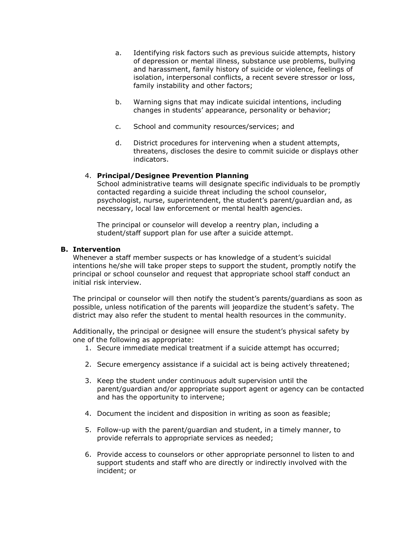- a. Identifying risk factors such as previous suicide attempts, history of depression or mental illness, substance use problems, bullying and harassment, family history of suicide or violence, feelings of isolation, interpersonal conflicts, a recent severe stressor or loss, family instability and other factors;
- b. Warning signs that may indicate suicidal intentions, including changes in students' appearance, personality or behavior;
- c. School and community resources/services; and
- d. District procedures for intervening when a student attempts, threatens, discloses the desire to commit suicide or displays other indicators.

# 4. Principal/Designee Prevention Planning

School administrative teams will designate specific individuals to be promptly contacted regarding a suicide threat including the school counselor, psychologist, nurse, superintendent, the student's parent/guardian and, as necessary, local law enforcement or mental health agencies.

The principal or counselor will develop a reentry plan, including a student/staff support plan for use after a suicide attempt.

# B. Intervention

Whenever a staff member suspects or has knowledge of a student's suicidal intentions he/she will take proper steps to support the student, promptly notify the principal or school counselor and request that appropriate school staff conduct an initial risk interview.

The principal or counselor will then notify the student's parents/guardians as soon as possible, unless notification of the parents will jeopardize the student's safety. The district may also refer the student to mental health resources in the community.

Additionally, the principal or designee will ensure the student's physical safety by one of the following as appropriate:

- 1. Secure immediate medical treatment if a suicide attempt has occurred;
- 2. Secure emergency assistance if a suicidal act is being actively threatened;
- 3. Keep the student under continuous adult supervision until the parent/guardian and/or appropriate support agent or agency can be contacted and has the opportunity to intervene;
- 4. Document the incident and disposition in writing as soon as feasible;
- 5. Follow-up with the parent/guardian and student, in a timely manner, to provide referrals to appropriate services as needed;
- 6. Provide access to counselors or other appropriate personnel to listen to and support students and staff who are directly or indirectly involved with the incident; or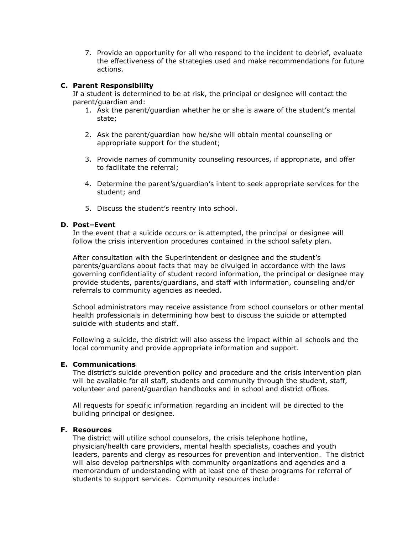7. Provide an opportunity for all who respond to the incident to debrief, evaluate the effectiveness of the strategies used and make recommendations for future actions.

## C. Parent Responsibility

If a student is determined to be at risk, the principal or designee will contact the parent/guardian and:

- 1. Ask the parent/guardian whether he or she is aware of the student's mental state;
- 2. Ask the parent/guardian how he/she will obtain mental counseling or appropriate support for the student;
- 3. Provide names of community counseling resources, if appropriate, and offer to facilitate the referral;
- 4. Determine the parent's/guardian's intent to seek appropriate services for the student; and
- 5. Discuss the student's reentry into school.

#### D. Post–Event

In the event that a suicide occurs or is attempted, the principal or designee will follow the crisis intervention procedures contained in the school safety plan.

After consultation with the Superintendent or designee and the student's parents/guardians about facts that may be divulged in accordance with the laws governing confidentiality of student record information, the principal or designee may provide students, parents/guardians, and staff with information, counseling and/or referrals to community agencies as needed.

School administrators may receive assistance from school counselors or other mental health professionals in determining how best to discuss the suicide or attempted suicide with students and staff.

Following a suicide, the district will also assess the impact within all schools and the local community and provide appropriate information and support.

## E. Communications

The district's suicide prevention policy and procedure and the crisis intervention plan will be available for all staff, students and community through the student, staff, volunteer and parent/guardian handbooks and in school and district offices.

All requests for specific information regarding an incident will be directed to the building principal or designee.

#### F. Resources

The district will utilize school counselors, the crisis telephone hotline, physician/health care providers, mental health specialists, coaches and youth leaders, parents and clergy as resources for prevention and intervention. The district will also develop partnerships with community organizations and agencies and a memorandum of understanding with at least one of these programs for referral of students to support services. Community resources include: